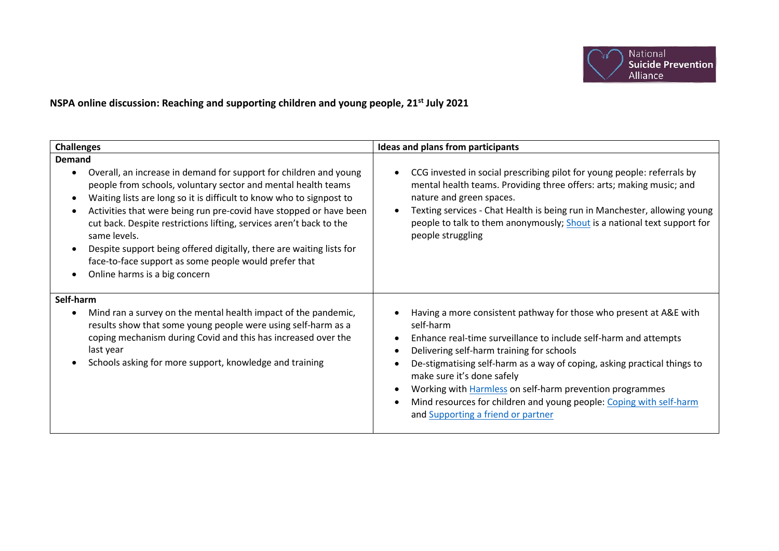

**NSPA online discussion: Reaching and supporting children and young people, 21st July 2021**

| <b>Challenges</b>                                                                                                                                                                                                                                                                                                                                                                                                                                                                                                                                          | Ideas and plans from participants                                                                                                                                                                                                                                                                                                                                                                                                                                                                                                 |
|------------------------------------------------------------------------------------------------------------------------------------------------------------------------------------------------------------------------------------------------------------------------------------------------------------------------------------------------------------------------------------------------------------------------------------------------------------------------------------------------------------------------------------------------------------|-----------------------------------------------------------------------------------------------------------------------------------------------------------------------------------------------------------------------------------------------------------------------------------------------------------------------------------------------------------------------------------------------------------------------------------------------------------------------------------------------------------------------------------|
| <b>Demand</b><br>Overall, an increase in demand for support for children and young<br>people from schools, voluntary sector and mental health teams<br>Waiting lists are long so it is difficult to know who to signpost to<br>Activities that were being run pre-covid have stopped or have been<br>cut back. Despite restrictions lifting, services aren't back to the<br>same levels.<br>Despite support being offered digitally, there are waiting lists for<br>face-to-face support as some people would prefer that<br>Online harms is a big concern | CCG invested in social prescribing pilot for young people: referrals by<br>$\bullet$<br>mental health teams. Providing three offers: arts; making music; and<br>nature and green spaces.<br>Texting services - Chat Health is being run in Manchester, allowing young<br>people to talk to them anonymously; Shout is a national text support for<br>people struggling                                                                                                                                                            |
| Self-harm<br>Mind ran a survey on the mental health impact of the pandemic,<br>results show that some young people were using self-harm as a<br>coping mechanism during Covid and this has increased over the<br>last year<br>Schools asking for more support, knowledge and training                                                                                                                                                                                                                                                                      | Having a more consistent pathway for those who present at A&E with<br>self-harm<br>Enhance real-time surveillance to include self-harm and attempts<br>$\bullet$<br>Delivering self-harm training for schools<br>$\bullet$<br>De-stigmatising self-harm as a way of coping, asking practical things to<br>make sure it's done safely<br>Working with <b>Harmless</b> on self-harm prevention programmes<br>$\bullet$<br>Mind resources for children and young people: Coping with self-harm<br>and Supporting a friend or partner |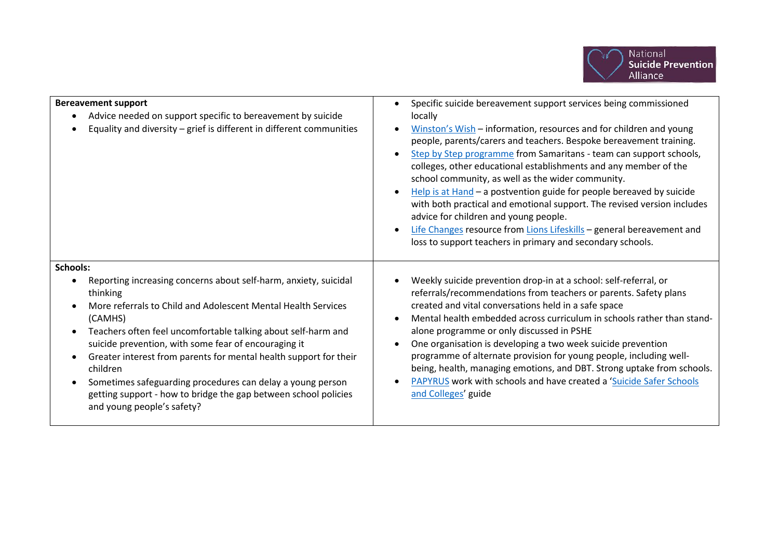

| <b>Bereavement support</b><br>Advice needed on support specific to bereavement by suicide<br>$\bullet$<br>Equality and diversity - grief is different in different communities                                                                                                                                                                                                                                                                                                                                                                                          | Specific suicide bereavement support services being commissioned<br>$\bullet$<br>locally<br>Winston's Wish - information, resources and for children and young<br>people, parents/carers and teachers. Bespoke bereavement training.<br>Step by Step programme from Samaritans - team can support schools,<br>$\bullet$<br>colleges, other educational establishments and any member of the<br>school community, as well as the wider community.<br>Help is at Hand - a postvention guide for people bereaved by suicide<br>with both practical and emotional support. The revised version includes<br>advice for children and young people.<br>Life Changes resource from Lions Lifeskills - general bereavement and<br>loss to support teachers in primary and secondary schools. |
|-------------------------------------------------------------------------------------------------------------------------------------------------------------------------------------------------------------------------------------------------------------------------------------------------------------------------------------------------------------------------------------------------------------------------------------------------------------------------------------------------------------------------------------------------------------------------|-------------------------------------------------------------------------------------------------------------------------------------------------------------------------------------------------------------------------------------------------------------------------------------------------------------------------------------------------------------------------------------------------------------------------------------------------------------------------------------------------------------------------------------------------------------------------------------------------------------------------------------------------------------------------------------------------------------------------------------------------------------------------------------|
| Schools:<br>Reporting increasing concerns about self-harm, anxiety, suicidal<br>$\bullet$<br>thinking<br>More referrals to Child and Adolescent Mental Health Services<br>(CAMHS)<br>Teachers often feel uncomfortable talking about self-harm and<br>suicide prevention, with some fear of encouraging it<br>Greater interest from parents for mental health support for their<br>children<br>Sometimes safeguarding procedures can delay a young person<br>$\bullet$<br>getting support - how to bridge the gap between school policies<br>and young people's safety? | Weekly suicide prevention drop-in at a school: self-referral, or<br>referrals/recommendations from teachers or parents. Safety plans<br>created and vital conversations held in a safe space<br>Mental health embedded across curriculum in schools rather than stand-<br>alone programme or only discussed in PSHE<br>One organisation is developing a two week suicide prevention<br>programme of alternate provision for young people, including well-<br>being, health, managing emotions, and DBT. Strong uptake from schools.<br>PAPYRUS work with schools and have created a 'Suicide Safer Schools<br>and Colleges' guide                                                                                                                                                   |